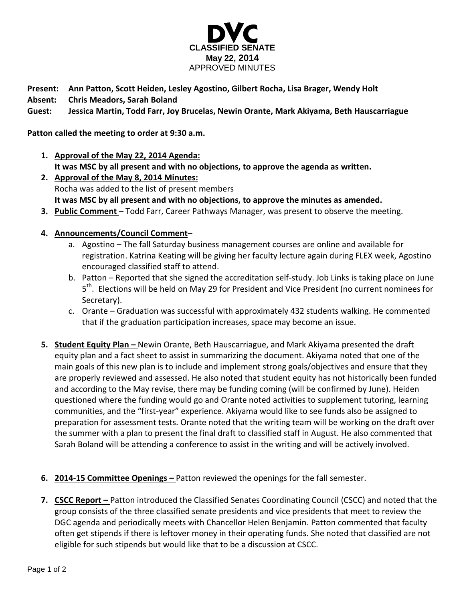

**Present: Ann Patton, Scott Heiden, Lesley Agostino, Gilbert Rocha, Lisa Brager, Wendy Holt**

**Absent: Chris Meadors, Sarah Boland**

**Guest: Jessica Martin, Todd Farr, Joy Brucelas, Newin Orante, Mark Akiyama, Beth Hauscarriague**

## **Patton called the meeting to order at 9:30 a.m.**

- **1. Approval of the May 22, 2014 Agenda: It was MSC by all present and with no objections, to approve the agenda as written.**
- **2. Approval of the May 8, 2014 Minutes:** Rocha was added to the list of present members **It was MSC by all present and with no objections, to approve the minutes as amended.**
- **3. Public Comment** Todd Farr, Career Pathways Manager, was present to observe the meeting.
- **4. Announcements/Council Comment**
	- a. Agostino The fall Saturday business management courses are online and available for registration. Katrina Keating will be giving her faculty lecture again during FLEX week, Agostino encouraged classified staff to attend.
	- b. Patton Reported that she signed the accreditation self-study. Job Links is taking place on June 5<sup>th</sup>. Elections will be held on May 29 for President and Vice President (no current nominees for Secretary).
	- c. Orante Graduation was successful with approximately 432 students walking. He commented that if the graduation participation increases, space may become an issue.
- **5. Student Equity Plan –** Newin Orante, Beth Hauscarriague, and Mark Akiyama presented the draft equity plan and a fact sheet to assist in summarizing the document. Akiyama noted that one of the main goals of this new plan is to include and implement strong goals/objectives and ensure that they are properly reviewed and assessed. He also noted that student equity has not historically been funded and according to the May revise, there may be funding coming (will be confirmed by June). Heiden questioned where the funding would go and Orante noted activities to supplement tutoring, learning communities, and the "first-year" experience. Akiyama would like to see funds also be assigned to preparation for assessment tests. Orante noted that the writing team will be working on the draft over the summer with a plan to present the final draft to classified staff in August. He also commented that Sarah Boland will be attending a conference to assist in the writing and will be actively involved.
- **6. 2014-15 Committee Openings –** Patton reviewed the openings for the fall semester.
- **7. CSCC Report –** Patton introduced the Classified Senates Coordinating Council (CSCC) and noted that the group consists of the three classified senate presidents and vice presidents that meet to review the DGC agenda and periodically meets with Chancellor Helen Benjamin. Patton commented that faculty often get stipends if there is leftover money in their operating funds. She noted that classified are not eligible for such stipends but would like that to be a discussion at CSCC.